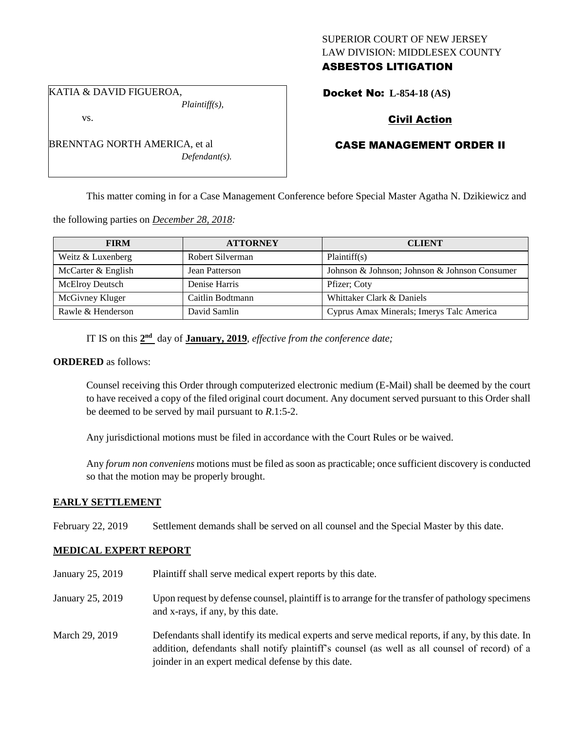## SUPERIOR COURT OF NEW JERSEY LAW DIVISION: MIDDLESEX COUNTY ASBESTOS LITIGATION

KATIA & DAVID FIGUEROA,

vs.

*Plaintiff(s),*

# Docket No: **L-854-18 (AS)**

# Civil Action

# CASE MANAGEMENT ORDER II

This matter coming in for a Case Management Conference before Special Master Agatha N. Dzikiewicz and

the following parties on *December 28, 2018:*

| <b>FIRM</b>            | <b>ATTORNEY</b>  | <b>CLIENT</b>                                 |
|------------------------|------------------|-----------------------------------------------|
| Weitz & Luxenberg      | Robert Silverman | Plaintiff(s)                                  |
| McCarter & English     | Jean Patterson   | Johnson & Johnson; Johnson & Johnson Consumer |
| <b>McElroy Deutsch</b> | Denise Harris    | Pfizer; Coty                                  |
| McGivney Kluger        | Caitlin Bodtmann | Whittaker Clark & Daniels                     |
| Rawle & Henderson      | David Samlin     | Cyprus Amax Minerals; Imerys Talc America     |

IT IS on this  $2<sup>nd</sup>$  day of **January, 2019**, *effective from the conference date*;

#### **ORDERED** as follows:

Counsel receiving this Order through computerized electronic medium (E-Mail) shall be deemed by the court to have received a copy of the filed original court document. Any document served pursuant to this Order shall be deemed to be served by mail pursuant to *R*.1:5-2.

Any jurisdictional motions must be filed in accordance with the Court Rules or be waived.

Any *forum non conveniens* motions must be filed as soon as practicable; once sufficient discovery is conducted so that the motion may be properly brought.

## **EARLY SETTLEMENT**

February 22, 2019 Settlement demands shall be served on all counsel and the Special Master by this date.

#### **MEDICAL EXPERT REPORT**

- January 25, 2019 Plaintiff shall serve medical expert reports by this date. January 25, 2019 Upon request by defense counsel, plaintiff is to arrange for the transfer of pathology specimens and x-rays, if any, by this date. March 29, 2019 Defendants shall identify its medical experts and serve medical reports, if any, by this date. In
	- addition, defendants shall notify plaintiff's counsel (as well as all counsel of record) of a joinder in an expert medical defense by this date.

BRENNTAG NORTH AMERICA, et al *Defendant(s).*